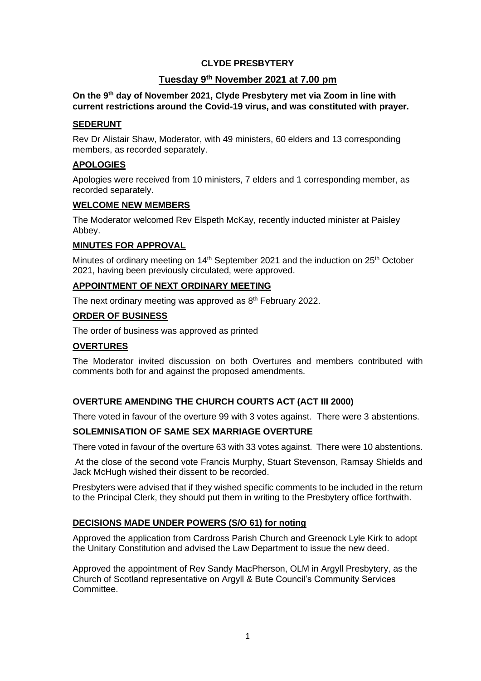## **CLYDE PRESBYTERY**

# **Tuesday 9th November 2021 at 7.00 pm**

#### **On the 9 th day of November 2021, Clyde Presbytery met via Zoom in line with current restrictions around the Covid-19 virus, and was constituted with prayer.**

## **SEDERUNT**

Rev Dr Alistair Shaw, Moderator, with 49 ministers, 60 elders and 13 corresponding members, as recorded separately.

## **APOLOGIES**

Apologies were received from 10 ministers, 7 elders and 1 corresponding member, as recorded separately.

#### **WELCOME NEW MEMBERS**

The Moderator welcomed Rev Elspeth McKay, recently inducted minister at Paisley Abbey.

## **MINUTES FOR APPROVAL**

Minutes of ordinary meeting on 14<sup>th</sup> September 2021 and the induction on 25<sup>th</sup> October 2021, having been previously circulated, were approved.

# **APPOINTMENT OF NEXT ORDINARY MEETING**

The next ordinary meeting was approved as 8<sup>th</sup> February 2022.

## **ORDER OF BUSINESS**

The order of business was approved as printed

## **OVERTURES**

The Moderator invited discussion on both Overtures and members contributed with comments both for and against the proposed amendments.

## **OVERTURE AMENDING THE CHURCH COURTS ACT (ACT III 2000)**

There voted in favour of the overture 99 with 3 votes against. There were 3 abstentions.

## **SOLEMNISATION OF SAME SEX MARRIAGE OVERTURE**

There voted in favour of the overture 63 with 33 votes against. There were 10 abstentions.

At the close of the second vote Francis Murphy, Stuart Stevenson, Ramsay Shields and Jack McHugh wished their dissent to be recorded.

Presbyters were advised that if they wished specific comments to be included in the return to the Principal Clerk, they should put them in writing to the Presbytery office forthwith.

## **DECISIONS MADE UNDER POWERS (S/O 61) for noting**

Approved the application from Cardross Parish Church and Greenock Lyle Kirk to adopt the Unitary Constitution and advised the Law Department to issue the new deed.

Approved the appointment of Rev Sandy MacPherson, OLM in Argyll Presbytery, as the Church of Scotland representative on Argyll & Bute Council's Community Services Committee.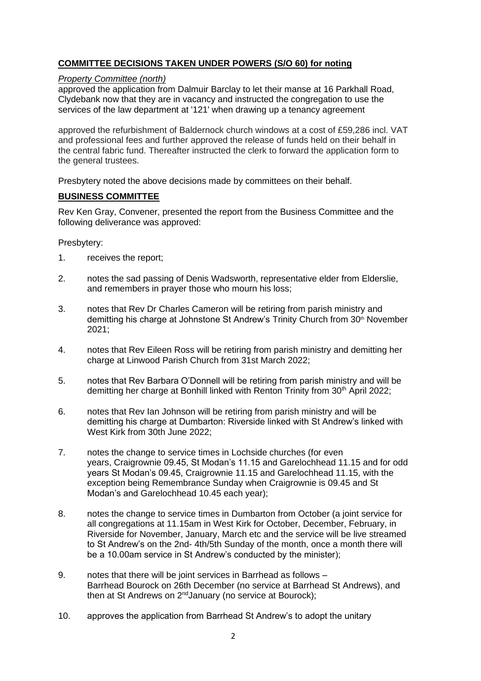# **COMMITTEE DECISIONS TAKEN UNDER POWERS (S/O 60) for noting**

#### *Property Committee (north)*

approved the application from Dalmuir Barclay to let their manse at 16 Parkhall Road, Clydebank now that they are in vacancy and instructed the congregation to use the services of the law department at '121' when drawing up a tenancy agreement

approved the refurbishment of Baldernock church windows at a cost of £59,286 incl. VAT and professional fees and further approved the release of funds held on their behalf in the central fabric fund. Thereafter instructed the clerk to forward the application form to the general trustees.

Presbytery noted the above decisions made by committees on their behalf.

#### **BUSINESS COMMITTEE**

Rev Ken Gray, Convener, presented the report from the Business Committee and the following deliverance was approved:

Presbytery:

- 1. receives the report;
- 2. notes the sad passing of Denis Wadsworth, representative elder from Elderslie, and remembers in prayer those who mourn his loss;
- 3. notes that Rev Dr Charles Cameron will be retiring from parish ministry and demitting his charge at Johnstone St Andrew's Trinity Church from 30th November 2021;
- 4. notes that Rev Eileen Ross will be retiring from parish ministry and demitting her charge at Linwood Parish Church from 31st March 2022;
- 5. notes that Rev Barbara O'Donnell will be retiring from parish ministry and will be demitting her charge at Bonhill linked with Renton Trinity from 30<sup>th</sup> April 2022;
- 6. notes that Rev Ian Johnson will be retiring from parish ministry and will be demitting his charge at Dumbarton: Riverside linked with St Andrew's linked with West Kirk from 30th June 2022;
- 7. notes the change to service times in Lochside churches (for even years, Craigrownie 09.45, St Modan's 11.15 and Garelochhead 11.15 and for odd years St Modan's 09.45, Craigrownie 11.15 and Garelochhead 11.15, with the exception being Remembrance Sunday when Craigrownie is 09.45 and St Modan's and Garelochhead 10.45 each year);
- 8. notes the change to service times in Dumbarton from October (a joint service for all congregations at 11.15am in West Kirk for October, December, February, in Riverside for November, January, March etc and the service will be live streamed to St Andrew's on the 2nd- 4th/5th Sunday of the month, once a month there will be a 10.00am service in St Andrew's conducted by the minister);
- 9. notes that there will be joint services in Barrhead as follows Barrhead Bourock on 26th December (no service at Barrhead St Andrews), and then at St Andrews on 2<sup>nd</sup> January (no service at Bourock);
- 10. approves the application from Barrhead St Andrew's to adopt the unitary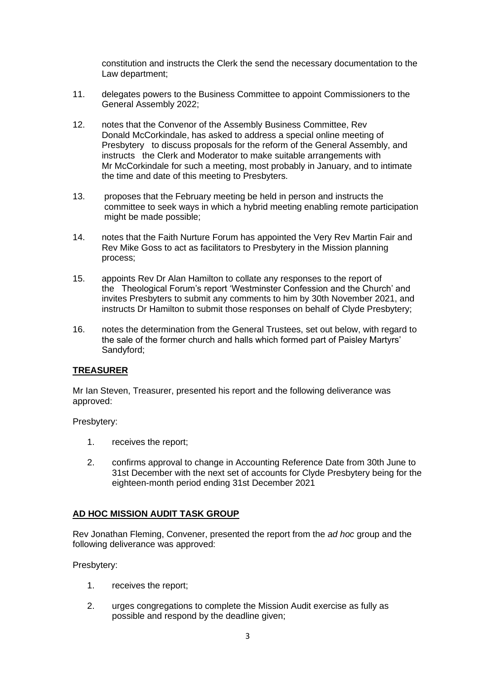constitution and instructs the Clerk the send the necessary documentation to the Law department;

- 11. delegates powers to the Business Committee to appoint Commissioners to the General Assembly 2022;
- 12. notes that the Convenor of the Assembly Business Committee, Rev Donald McCorkindale, has asked to address a special online meeting of Presbytery to discuss proposals for the reform of the General Assembly, and instructs the Clerk and Moderator to make suitable arrangements with Mr McCorkindale for such a meeting, most probably in January, and to intimate the time and date of this meeting to Presbyters.
- 13. proposes that the February meeting be held in person and instructs the committee to seek ways in which a hybrid meeting enabling remote participation might be made possible;
- 14. notes that the Faith Nurture Forum has appointed the Very Rev Martin Fair and Rev Mike Goss to act as facilitators to Presbytery in the Mission planning process;
- 15. appoints Rev Dr Alan Hamilton to collate any responses to the report of the Theological Forum's report 'Westminster Confession and the Church' and invites Presbyters to submit any comments to him by 30th November 2021, and instructs Dr Hamilton to submit those responses on behalf of Clyde Presbytery;
- 16. notes the determination from the General Trustees, set out below, with regard to the sale of the former church and halls which formed part of Paisley Martyrs' Sandyford;

## **TREASURER**

Mr Ian Steven, Treasurer, presented his report and the following deliverance was approved:

Presbytery:

- 1. receives the report;
- 2. confirms approval to change in Accounting Reference Date from 30th June to 31st December with the next set of accounts for Clyde Presbytery being for the eighteen-month period ending 31st December 2021

## **AD HOC MISSION AUDIT TASK GROUP**

Rev Jonathan Fleming, Convener, presented the report from the *ad hoc* group and the following deliverance was approved:

Presbytery:

- 1. receives the report;
- 2. urges congregations to complete the Mission Audit exercise as fully as possible and respond by the deadline given;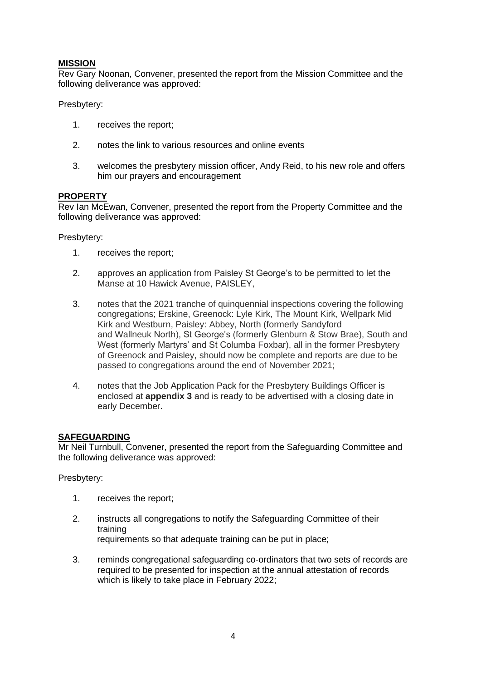## **MISSION**

Rev Gary Noonan, Convener, presented the report from the Mission Committee and the following deliverance was approved:

Presbytery:

- 1. receives the report;
- 2. notes the link to various resources and online events
- 3. welcomes the presbytery mission officer, Andy Reid, to his new role and offers him our prayers and encouragement

## **PROPERTY**

Rev Ian McEwan, Convener, presented the report from the Property Committee and the following deliverance was approved:

Presbytery:

- 1. receives the report;
- 2. approves an application from Paisley St George's to be permitted to let the Manse at 10 Hawick Avenue, PAISLEY,
- 3. notes that the 2021 tranche of quinquennial inspections covering the following congregations; Erskine, Greenock: Lyle Kirk, The Mount Kirk, Wellpark Mid Kirk and Westburn, Paisley: Abbey, North (formerly Sandyford and Wallneuk North), St George's (formerly Glenburn & Stow Brae), South and West (formerly Martyrs' and St Columba Foxbar), all in the former Presbytery of Greenock and Paisley, should now be complete and reports are due to be passed to congregations around the end of November 2021;
- 4. notes that the Job Application Pack for the Presbytery Buildings Officer is enclosed at **appendix 3** and is ready to be advertised with a closing date in early December.

## **SAFEGUARDING**

Mr Neil Turnbull, Convener, presented the report from the Safeguarding Committee and the following deliverance was approved:

Presbytery:

- 1. receives the report;
- 2. instructs all congregations to notify the Safeguarding Committee of their training requirements so that adequate training can be put in place;
- 3. reminds congregational safeguarding co-ordinators that two sets of records are required to be presented for inspection at the annual attestation of records which is likely to take place in February 2022;